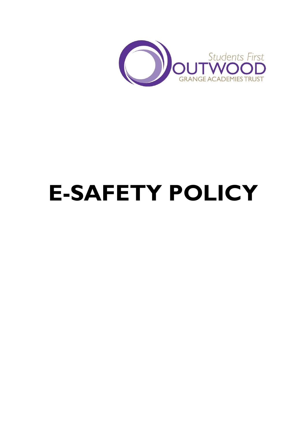

# **E-SAFETY POLICY**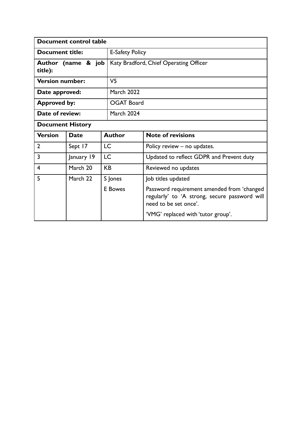| Document control table        |             |                   |                                                                                                                      |  |
|-------------------------------|-------------|-------------------|----------------------------------------------------------------------------------------------------------------------|--|
| Document title:               |             |                   | <b>E-Safety Policy</b>                                                                                               |  |
| Author (name & job<br>title): |             |                   | Katy Bradford, Chief Operating Officer                                                                               |  |
| <b>Version number:</b>        |             | V <sub>5</sub>    |                                                                                                                      |  |
| Date approved:                |             | <b>March 2022</b> |                                                                                                                      |  |
| <b>Approved by:</b>           |             |                   | <b>OGAT Board</b>                                                                                                    |  |
| Date of review:               |             | <b>March 2024</b> |                                                                                                                      |  |
| <b>Document History</b>       |             |                   |                                                                                                                      |  |
| <b>Version</b>                | <b>Date</b> | <b>Author</b>     | <b>Note of revisions</b>                                                                                             |  |
| $\overline{2}$                | Sept 17     | <b>LC</b>         | Policy review – no updates.                                                                                          |  |
| 3                             | January 19  | <b>LC</b>         | Updated to reflect GDPR and Prevent duty                                                                             |  |
| 4                             | March 20    | <b>KB</b>         | Reviewed no updates                                                                                                  |  |
| 5                             | March 22    | S Jones           | Job titles updated                                                                                                   |  |
|                               |             | <b>E</b> Bowes    | Password requirement amended from 'changed<br>regularly' to 'A strong, secure password will<br>need to be set once'. |  |
|                               |             |                   | 'VMG' replaced with 'tutor group'.                                                                                   |  |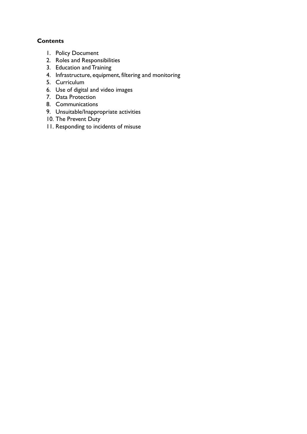# **Contents**

- 1. Policy Document
- 2. Roles and Responsibilities
- 3. Education and Training
- 4. Infrastructure, equipment, filtering and monitoring
- 5. Curriculum
- 6. Use of digital and video images
- 7. Data Protection
- 8. Communications
- 9. Unsuitable/Inappropriate activities
- 10. The Prevent Duty
- 11. Responding to incidents of misuse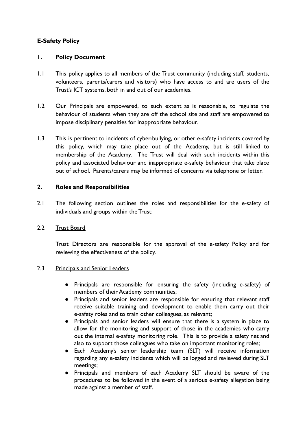# **E-Safety Policy**

## **1. Policy Document**

- 1.1 This policy applies to all members of the Trust community (including staff, students, volunteers, parents/carers and visitors) who have access to and are users of the Trust's ICT systems, both in and out of our academies.
- 1.2 Our Principals are empowered, to such extent as is reasonable, to regulate the behaviour of students when they are off the school site and staff are empowered to impose disciplinary penalties for inappropriate behaviour.
- 1.3 This is pertinent to incidents of cyber-bullying, or other e-safety incidents covered by this policy, which may take place out of the Academy, but is still linked to membership of the Academy. The Trust will deal with such incidents within this policy and associated behaviour and inappropriate e-safety behaviour that take place out of school. Parents/carers may be informed of concerns via telephone or letter.

#### **2. Roles and Responsibilities**

2.1 The following section outlines the roles and responsibilities for the e-safety of individuals and groups within the Trust:

## 2.2 Trust Board

Trust Directors are responsible for the approval of the e-safety Policy and for reviewing the effectiveness of the policy.

#### 2.3 Principals and Senior Leaders

- Principals are responsible for ensuring the safety (including e-safety) of members of their Academy communities;
- Principals and senior leaders are responsible for ensuring that relevant staff receive suitable training and development to enable them carry out their e-safety roles and to train other colleagues, as relevant;
- Principals and senior leaders will ensure that there is a system in place to allow for the monitoring and support of those in the academies who carry out the internal e-safety monitoring role. This is to provide a safety net and also to support those colleagues who take on important monitoring roles;
- Each Academy's senior leadership team (SLT) will receive information regarding any e-safety incidents which will be logged and reviewed during SLT meetings;
- Principals and members of each Academy SLT should be aware of the procedures to be followed in the event of a serious e-safety allegation being made against a member of staff.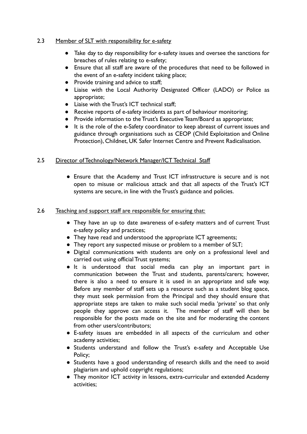## 2.3 Member of SLT with responsibility for e-safety

- Take day to day responsibility for e-safety issues and oversee the sanctions for breaches of rules relating to e-safety;
- Ensure that all staff are aware of the procedures that need to be followed in the event of an e-safety incident taking place;
- Provide training and advice to staff;
- Liaise with the Local Authority Designated Officer (LADO) or Police as appropriate;
- Liaise with the Trust's ICT technical staff:
- Receive reports of e-safety incidents as part of behaviour monitoring;
- Provide information to the Trust's Executive Team/Board as appropriate;
- It is the role of the e-Safety coordinator to keep abreast of current issues and guidance through organisations such as CEOP (Child Exploitation and Online Protection), Childnet, UK Safer Internet Centre and Prevent Radicalisation.

## 2.5 Director of Technology/Network Manager/ICT Technical Staff

● Ensure that the Academy and Trust ICT infrastructure is secure and is not open to misuse or malicious attack and that all aspects of the Trust's ICT systems are secure, in line with the Trust's guidance and policies.

## 2.6 Teaching and support staff are responsible for ensuring that:

- They have an up to date awareness of e-safety matters and of current Trust e-safety policy and practices;
- They have read and understood the appropriate ICT agreements;
- They report any suspected misuse or problem to a member of SLT;
- Digital communications with students are only on a professional level and carried out using official Trust systems;
- It is understood that social media can play an important part in communication between the Trust and students, parents/carers; however, there is also a need to ensure it is used in an appropriate and safe way. Before any member of staff sets up a resource such as a student blog space, they must seek permission from the Principal and they should ensure that appropriate steps are taken to make such social media 'private' so that only people they approve can access it. The member of staff will then be responsible for the posts made on the site and for moderating the content from other users/contributors;
- E-safety issues are embedded in all aspects of the curriculum and other academy activities;
- Students understand and follow the Trust's e-safety and Acceptable Use Policy;
- Students have a good understanding of research skills and the need to avoid plagiarism and uphold copyright regulations;
- They monitor ICT activity in lessons, extra-curricular and extended Academy activities;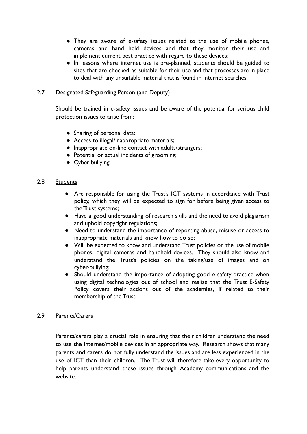- They are aware of e-safety issues related to the use of mobile phones, cameras and hand held devices and that they monitor their use and implement current best practice with regard to these devices;
- In lessons where internet use is pre-planned, students should be guided to sites that are checked as suitable for their use and that processes are in place to deal with any unsuitable material that is found in internet searches.

## 2.7 Designated Safeguarding Person (and Deputy)

Should be trained in e-safety issues and be aware of the potential for serious child protection issues to arise from:

- Sharing of personal data;
- Access to illegal/inappropriate materials;
- Inappropriate on-line contact with adults/strangers;
- Potential or actual incidents of grooming;
- Cyber-bullying

#### 2.8 Students

- Are responsible for using the Trust's ICT systems in accordance with Trust policy, which they will be expected to sign for before being given access to the Trust systems;
- Have a good understanding of research skills and the need to avoid plagiarism and uphold copyright regulations;
- Need to understand the importance of reporting abuse, misuse or access to inappropriate materials and know how to do so;
- Will be expected to know and understand Trust policies on the use of mobile phones, digital cameras and handheld devices. They should also know and understand the Trust's policies on the taking/use of images and on cyber-bullying;
- Should understand the importance of adopting good e-safety practice when using digital technologies out of school and realise that the Trust E-Safety Policy covers their actions out of the academies, if related to their membership of the Trust.

#### 2.9 Parents/Carers

Parents/carers play a crucial role in ensuring that their children understand the need to use the internet/mobile devices in an appropriate way. Research shows that many parents and carers do not fully understand the issues and are less experienced in the use of ICT than their children. The Trust will therefore take every opportunity to help parents understand these issues through Academy communications and the website.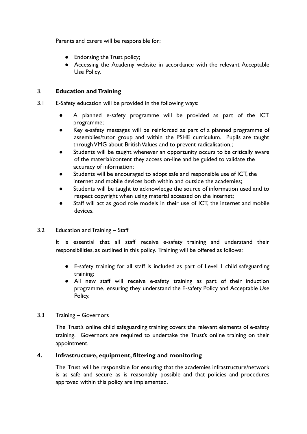Parents and carers will be responsible for:

- Endorsing the Trust policy;
- Accessing the Academy website in accordance with the relevant Acceptable Use Policy.

## 3. **Education and Training**

- 3.1 E-Safety education will be provided in the following ways:
	- A planned e-safety programme will be provided as part of the ICT programme;
	- Key e-safety messages will be reinforced as part of a planned programme of assemblies/tutor group and within the PSHE curriculum. Pupils are taught through VMG about British Values and to prevent radicalisation.;
	- Students will be taught whenever an opportunity occurs to be critically aware of the material/content they access on-line and be guided to validate the accuracy of information;
	- Students will be encouraged to adopt safe and responsible use of ICT, the internet and mobile devices both within and outside the academies;
	- Students will be taught to acknowledge the source of information used and to respect copyright when using material accessed on the internet;
	- Staff will act as good role models in their use of ICT, the internet and mobile devices.
- 3.2 Education and Training Staff

It is essential that all staff receive e-safety training and understand their responsibilities, as outlined in this policy. Training will be offered as follows:

- E-safety training for all staff is included as part of Level 1 child safeguarding training;
- All new staff will receive e-safety training as part of their induction programme, ensuring they understand the E-safety Policy and Acceptable Use Policy.
- 3.3 Training Governors

The Trust's online child safeguarding training covers the relevant elements of e-safety training. Governors are required to undertake the Trust's online training on their appointment.

## **4. Infrastructure, equipment, filtering and monitoring**

The Trust will be responsible for ensuring that the academies infrastructure/network is as safe and secure as is reasonably possible and that policies and procedures approved within this policy are implemented.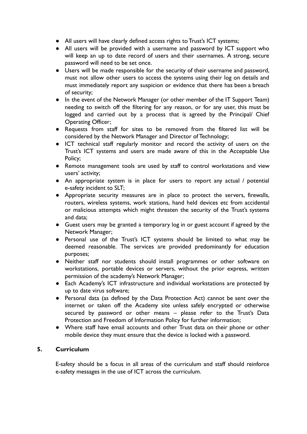- **All users will have clearly defined access rights to Trust's ICT systems;**
- All users will be provided with a username and password by ICT support who will keep an up to date record of users and their usernames. A strong, secure password will need to be set once.
- Users will be made responsible for the security of their username and password, must not allow other users to access the systems using their log on details and must immediately report any suspicion or evidence that there has been a breach of security;
- In the event of the Network Manager (or other member of the IT Support Team) needing to switch off the filtering for any reason, or for any user, this must be logged and carried out by a process that is agreed by the Principal/ Chief Operating Officer;
- Requests from staff for sites to be removed from the filtered list will be considered by the Network Manager and Director of Technology;
- ICT technical staff regularly monitor and record the activity of users on the Trust's ICT systems and users are made aware of this in the Acceptable Use Policy;
- Remote management tools are used by staff to control workstations and view users' activity;
- An appropriate system is in place for users to report any actual / potential e-safety incident to SLT;
- Appropriate security measures are in place to protect the servers, firewalls, routers, wireless systems, work stations, hand held devices etc from accidental or malicious attempts which might threaten the security of the Trust's systems and data;
- Guest users may be granted a temporary log in or guest account if agreed by the Network Manager;
- Personal use of the Trust's ICT systems should be limited to what may be deemed reasonable. The services are provided predominantly for education purposes;
- Neither staff nor students should install programmes or other software on workstations, portable devices or servers, without the prior express, written permission of the academy's Network Manager;
- Each Academy's ICT infrastructure and individual workstations are protected by up to date virus software;
- Personal data (as defined by the Data Protection Act) cannot be sent over the internet or taken off the Academy site unless safely encrypted or otherwise secured by password or other means – please refer to the Trust's Data Protection and Freedom of Information Policy for further information;
- Where staff have email accounts and other Trust data on their phone or other mobile device they must ensure that the device is locked with a password.

## **5. Curriculum**

E-safety should be a focus in all areas of the curriculum and staff should reinforce e-safety messages in the use of ICT across the curriculum.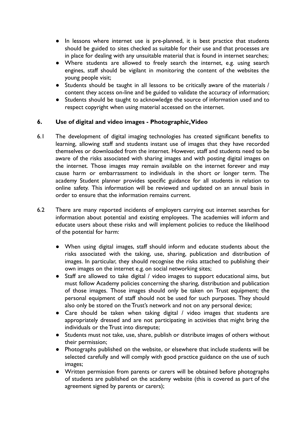- In lessons where internet use is pre-planned, it is best practice that students should be guided to sites checked as suitable for their use and that processes are in place for dealing with any unsuitable material that is found in internet searches;
- Where students are allowed to freely search the internet, e.g. using search engines, staff should be vigilant in monitoring the content of the websites the young people visit;
- Students should be taught in all lessons to be critically aware of the materials / content they access on-line and be guided to validate the accuracy of information;
- Students should be taught to acknowledge the source of information used and to respect copyright when using material accessed on the internet.

## **6. Use of digital and video images - Photographic,Video**

- 6.1 The development of digital imaging technologies has created significant benefits to learning, allowing staff and students instant use of images that they have recorded themselves or downloaded from the internet. However, staff and students need to be aware of the risks associated with sharing images and with posting digital images on the internet. Those images may remain available on the internet forever and may cause harm or embarrassment to individuals in the short or longer term. The academy Student planner provides specific guidance for all students in relation to online safety. This information will be reviewed and updated on an annual basis in order to ensure that the information remains current.
- 6.2 There are many reported incidents of employers carrying out internet searches for information about potential and existing employees. The academies will inform and educate users about these risks and will implement policies to reduce the likelihood of the potential for harm:
	- When using digital images, staff should inform and educate students about the risks associated with the taking, use, sharing, publication and distribution of images. In particular, they should recognise the risks attached to publishing their own images on the internet e.g. on social networking sites;
	- Staff are allowed to take digital / video images to support educational aims, but must follow Academy policies concerning the sharing, distribution and publication of those images. Those images should only be taken on Trust equipment; the personal equipment of staff should not be used for such purposes. They should also only be stored on the Trust's network and not on any personal device;
	- Care should be taken when taking digital / video images that students are appropriately dressed and are not participating in activities that might bring the individuals or the Trust into disrepute;
	- Students must not take, use, share, publish or distribute images of others without their permission;
	- Photographs published on the website, or elsewhere that include students will be selected carefully and will comply with good practice guidance on the use of such images;
	- Written permission from parents or carers will be obtained before photographs of students are published on the academy website (this is covered as part of the agreement signed by parents or carers);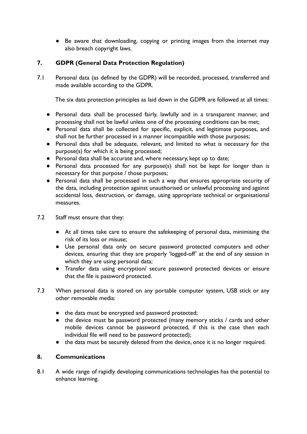● Be aware that downloading, copying or printing images from the internet may also breach copyright laws.

# **7. GDPR (General Data Protection Regulation)**

7.1 Personal data (as defined by the GDPR) will be recorded, processed, transferred and made available according to the GDPR.

The six data protection principles as laid down in the GDPR are followed at all times:

- Personal data shall be processed fairly, lawfully and in a transparent manner, and processing shall not be lawful unless one of the processing conditions can be met;
- Personal data shall be collected for specific, explicit, and legitimate purposes, and shall not be further processed in a manner incompatible with those purposes;
- Personal data shall be adequate, relevant, and limited to what is necessary for the purpose(s) for which it is being processed;
- Personal data shall be accurate and, where necessary, kept up to date;
- Personal data processed for any purpose(s) shall not be kept for longer than is necessary for that purpose / those purposes;
- Personal data shall be processed in such a way that ensures appropriate security of the data, including protection against unauthorised or unlawful processing and against accidental loss, destruction, or damage, using appropriate technical or organisational measures.
- 7.2 Staff must ensure that they:
	- At all times take care to ensure the safekeeping of personal data, minimising the risk of its loss or misuse;
	- Use personal data only on secure password protected computers and other devices, ensuring that they are properly 'logged-off' at the end of any session in which they are using personal data;
	- Transfer data using encryption/ secure password protected devices or ensure that the file is password protected.
- 7.3 When personal data is stored on any portable computer system, USB stick or any other removable media:
	- the data must be encrypted and password protected;
	- the device must be password protected (many memory sticks / cards and other mobile devices cannot be password protected, if this is the case then each individual file will need to be password protected);
	- the data must be securely deleted from the device, once it is no longer required.

# **8. Communications**

8.1 A wide range of rapidly developing communications technologies has the potential to enhance learning.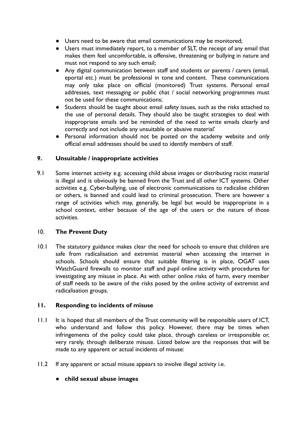- Users need to be aware that email communications may be monitored;
- Users must immediately report, to a member of SLT, the receipt of any email that makes them feel uncomfortable, is offensive, threatening or bullying in nature and must not respond to any such email;
- Any digital communication between staff and students or parents / carers (email, eportal etc.) must be professional in tone and content. These communications may only take place on official (monitored) Trust systems. Personal email addresses, text messaging or public chat / social networking programmes must not be used for these communications;
- Students should be taught about email safety issues, such as the risks attached to the use of personal details. They should also be taught strategies to deal with inappropriate emails and be reminded of the need to write emails clearly and correctly and not include any unsuitable or abusive material'
- Personal information should not be posted on the academy website and only official email addresses should be used to identify members of staff.

# **9. Unsuitable / inappropriate activities**

9.1 Some internet activity e.g. accessing child abuse images or distributing racist material is illegal and is obviously be banned from the Trust and all other ICT systems. Other activities e.g. Cyber-bullying, use of electronic communications to radicalise children or others, is banned and could lead to criminal prosecution. There are however a range of activities which may, generally, be legal but would be inappropriate in a school context, either because of the age of the users or the nature of those activities.

# 10. **The Prevent Duty**

10.1 The statutory guidance makes clear the need for schools to ensure that children are safe from radicalisation and extremist material when accessing the internet in schools. Schools should ensure that suitable filtering is in place, OGAT uses WatchGuard firewalls to monitor staff and pupil online activity with procedures for investigating any misuse in place. As with other online risks of harm, every member of staff needs to be aware of the risks posed by the online activity of extremist and radicalisation groups.

# **11. Responding to incidents of misuse**

- 11.1 It is hoped that all members of the Trust community will be responsible users of ICT, who understand and follow this policy. However, there may be times when infringements of the policy could take place, through careless or irresponsible or, very rarely, through deliberate misuse. Listed below are the responses that will be made to any apparent or actual incidents of misuse:
- 11.2 If any apparent or actual misuse appears to involve illegal activity i.e.
	- **child sexual abuse images**